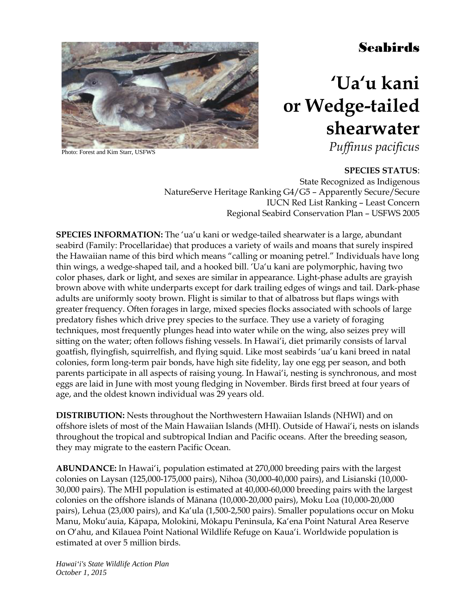## Seabirds



Photo: Forest and Kim Starr, USFWS

# **'Ua'u kani or Wedge-tailed shearwater**

*Puffinus pacificus*

**SPECIES STATUS**: State Recognized as Indigenous NatureServe Heritage Ranking G4/G5 – Apparently Secure/Secure IUCN Red List Ranking – Least Concern Regional Seabird Conservation Plan – USFWS 2005

**SPECIES INFORMATION:** The 'ua'u kani or wedge-tailed shearwater is a large, abundant seabird (Family: Procellaridae) that produces a variety of wails and moans that surely inspired the Hawaiian name of this bird which means "calling or moaning petrel." Individuals have long thin wings, a wedge-shaped tail, and a hooked bill. 'Ua'u kani are polymorphic, having two color phases, dark or light, and sexes are similar in appearance. Light-phase adults are grayish brown above with white underparts except for dark trailing edges of wings and tail. Dark-phase adults are uniformly sooty brown. Flight is similar to that of albatross but flaps wings with greater frequency. Often forages in large, mixed species flocks associated with schools of large predatory fishes which drive prey species to the surface. They use a variety of foraging techniques, most frequently plunges head into water while on the wing, also seizes prey will sitting on the water; often follows fishing vessels. In Hawai'i, diet primarily consists of larval goatfish, flyingfish, squirrelfish, and flying squid. Like most seabirds 'ua'u kani breed in natal colonies, form long-term pair bonds, have high site fidelity, lay one egg per season, and both parents participate in all aspects of raising young. In Hawai'i, nesting is synchronous, and most eggs are laid in June with most young fledging in November. Birds first breed at four years of age, and the oldest known individual was 29 years old.

**DISTRIBUTION:** Nests throughout the Northwestern Hawaiian Islands (NHWI) and on offshore islets of most of the Main Hawaiian Islands (MHI). Outside of Hawai'i, nests on islands throughout the tropical and subtropical Indian and Pacific oceans. After the breeding season, they may migrate to the eastern Pacific Ocean.

**ABUNDANCE:** In Hawai'i, population estimated at 270,000 breeding pairs with the largest colonies on Laysan (125,000-175,000 pairs), Nihoa (30,000-40,000 pairs), and Lisianski (10,000- 30,000 pairs). The MHI population is estimated at 40,000-60,000 breeding pairs with the largest colonies on the offshore islands of Mānana (10,000-20,000 pairs), Moku Loa (10,000-20,000 pairs), Lehua (23,000 pairs), and Ka'ula (1,500-2,500 pairs). Smaller populations occur on Moku Manu, Moku'auia, Kāpapa, Molokini, Mōkapu Peninsula, Ka'ena Point Natural Area Reserve on O'ahu, and Kīlauea Point National Wildlife Refuge on Kaua'i. Worldwide population is estimated at over 5 million birds.

*Hawai'i's State Wildlife Action Plan October 1, 2015*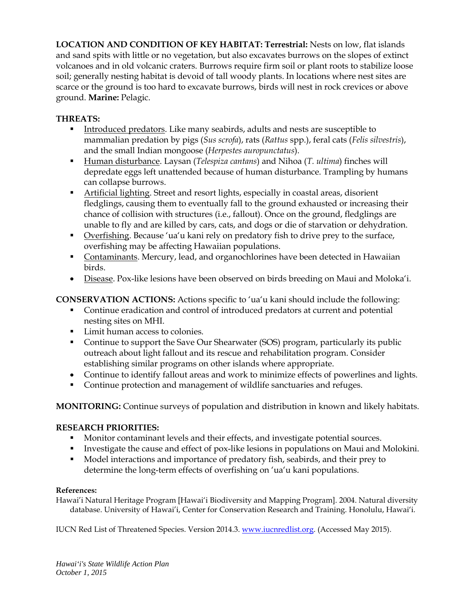**LOCATION AND CONDITION OF KEY HABITAT: Terrestrial:** Nests on low, flat islands and sand spits with little or no vegetation, but also excavates burrows on the slopes of extinct volcanoes and in old volcanic craters. Burrows require firm soil or plant roots to stabilize loose soil; generally nesting habitat is devoid of tall woody plants. In locations where nest sites are scarce or the ground is too hard to excavate burrows, birds will nest in rock crevices or above ground. **Marine:** Pelagic.

### **THREATS:**

- Introduced predators. Like many seabirds, adults and nests are susceptible to mammalian predation by pigs (*Sus scrofa*), rats (*Rattus* spp.), feral cats (*Felis silvestris*), and the small Indian mongoose (*Herpestes auropunctatus*).
- Human disturbance. Laysan (*Telespiza cantans*) and Nihoa (*T. ultima*) finches will depredate eggs left unattended because of human disturbance. Trampling by humans can collapse burrows.
- **Artificial lighting.** Street and resort lights, especially in coastal areas, disorient fledglings, causing them to eventually fall to the ground exhausted or increasing their chance of collision with structures (i.e., fallout). Once on the ground, fledglings are unable to fly and are killed by cars, cats, and dogs or die of starvation or dehydration.
- Overfishing. Because 'ua'u kani rely on predatory fish to drive prey to the surface, overfishing may be affecting Hawaiian populations.
- **Contaminants. Mercury, lead, and organochlorines have been detected in Hawaiian** birds.
- Disease. Pox-like lesions have been observed on birds breeding on Maui and Moloka'i.

**CONSERVATION ACTIONS:** Actions specific to 'ua'u kani should include the following:

- Continue eradication and control of introduced predators at current and potential nesting sites on MHI.
- **Limit human access to colonies.**
- Continue to support the Save Our Shearwater (SOS) program, particularly its public outreach about light fallout and its rescue and rehabilitation program. Consider establishing similar programs on other islands where appropriate.
- Continue to identify fallout areas and work to minimize effects of powerlines and lights.
- Continue protection and management of wildlife sanctuaries and refuges.

**MONITORING:** Continue surveys of population and distribution in known and likely habitats.

### **RESEARCH PRIORITIES:**

- **Monitor contaminant levels and their effects, and investigate potential sources.**
- Investigate the cause and effect of pox-like lesions in populations on Maui and Molokini.
- Model interactions and importance of predatory fish, seabirds, and their prey to determine the long-term effects of overfishing on 'ua'u kani populations.

#### **References:**

Hawai'i Natural Heritage Program [Hawai'i Biodiversity and Mapping Program]. 2004. Natural diversity database. University of Hawai'i, Center for Conservation Research and Training. Honolulu, Hawai'i.

IUCN Red List of Threatened Species. Version 2014.3. [www.iucnredlist.org.](http://www.iucnredlist.org/) (Accessed May 2015).